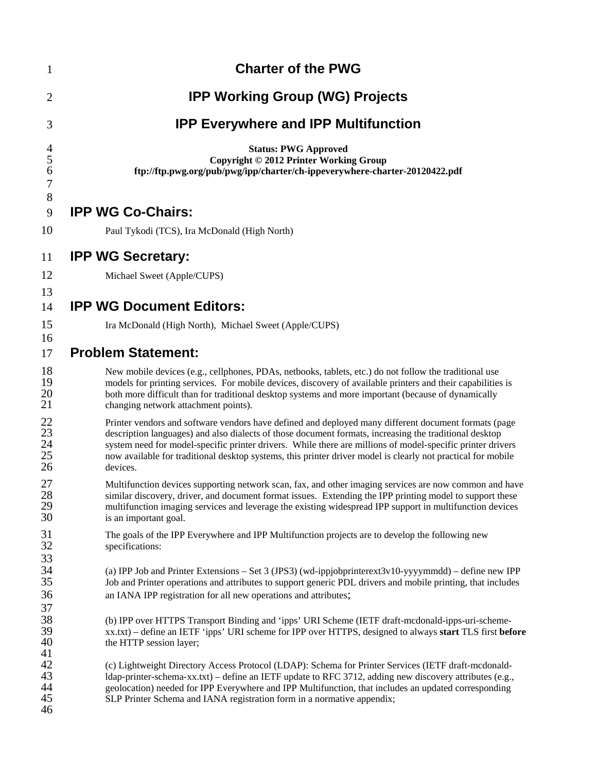| $\mathbf{1}$                               | <b>Charter of the PWG</b>                                                                                                                                                                                                                                                                                                                                                                                                                                |
|--------------------------------------------|----------------------------------------------------------------------------------------------------------------------------------------------------------------------------------------------------------------------------------------------------------------------------------------------------------------------------------------------------------------------------------------------------------------------------------------------------------|
| $\overline{c}$                             | <b>IPP Working Group (WG) Projects</b>                                                                                                                                                                                                                                                                                                                                                                                                                   |
| 3                                          | <b>IPP Everywhere and IPP Multifunction</b>                                                                                                                                                                                                                                                                                                                                                                                                              |
| $\overline{4}$<br>5<br>6<br>$\overline{7}$ | <b>Status: PWG Approved</b><br>Copyright © 2012 Printer Working Group<br>ftp://ftp.pwg.org/pub/pwg/ipp/charter/ch-ippeverywhere-charter-20120422.pdf                                                                                                                                                                                                                                                                                                     |
| 8<br>9                                     | <b>IPP WG Co-Chairs:</b>                                                                                                                                                                                                                                                                                                                                                                                                                                 |
| 10                                         | Paul Tykodi (TCS), Ira McDonald (High North)                                                                                                                                                                                                                                                                                                                                                                                                             |
| 11                                         | <b>IPP WG Secretary:</b>                                                                                                                                                                                                                                                                                                                                                                                                                                 |
| 12                                         | Michael Sweet (Apple/CUPS)                                                                                                                                                                                                                                                                                                                                                                                                                               |
| 13                                         |                                                                                                                                                                                                                                                                                                                                                                                                                                                          |
| 14                                         | <b>IPP WG Document Editors:</b>                                                                                                                                                                                                                                                                                                                                                                                                                          |
| 15<br>16                                   | Ira McDonald (High North), Michael Sweet (Apple/CUPS)                                                                                                                                                                                                                                                                                                                                                                                                    |
| 17                                         | <b>Problem Statement:</b>                                                                                                                                                                                                                                                                                                                                                                                                                                |
| 18<br>19<br>20<br>21                       | New mobile devices (e.g., cellphones, PDAs, netbooks, tablets, etc.) do not follow the traditional use<br>models for printing services. For mobile devices, discovery of available printers and their capabilities is<br>both more difficult than for traditional desktop systems and more important (because of dynamically<br>changing network attachment points).                                                                                     |
| 22<br>23<br>$\frac{24}{25}$<br>26          | Printer vendors and software vendors have defined and deployed many different document formats (page<br>description languages) and also dialects of those document formats, increasing the traditional desktop<br>system need for model-specific printer drivers. While there are millions of model-specific printer drivers<br>now available for traditional desktop systems, this printer driver model is clearly not practical for mobile<br>devices. |
| 27<br>28<br>29<br>30                       | Multifunction devices supporting network scan, fax, and other imaging services are now common and have<br>similar discovery, driver, and document format issues. Extending the IPP printing model to support these<br>multifunction imaging services and leverage the existing widespread IPP support in multifunction devices<br>is an important goal.                                                                                                  |
| 31<br>32<br>33                             | The goals of the IPP Everywhere and IPP Multifunction projects are to develop the following new<br>specifications:                                                                                                                                                                                                                                                                                                                                       |
| 34<br>35<br>36<br>37                       | (a) IPP Job and Printer Extensions - Set 3 (JPS3) (wd-ippjobprinterext3v10-yyyymmdd) - define new IPP<br>Job and Printer operations and attributes to support generic PDL drivers and mobile printing, that includes<br>an IANA IPP registration for all new operations and attributes;                                                                                                                                                                  |
| 38<br>39<br>40<br>41                       | (b) IPP over HTTPS Transport Binding and 'ipps' URI Scheme (IETF draft-mcdonald-ipps-uri-scheme-<br>xx.txt) - define an IETF 'ipps' URI scheme for IPP over HTTPS, designed to always start TLS first before<br>the HTTP session layer;                                                                                                                                                                                                                  |
| 42<br>43<br>44<br>45<br>46                 | (c) Lightweight Directory Access Protocol (LDAP): Schema for Printer Services (IETF draft-mcdonald-<br>ldap-printer-schema-xx.txt) – define an IETF update to RFC 3712, adding new discovery attributes (e.g.,<br>geolocation) needed for IPP Everywhere and IPP Multifunction, that includes an updated corresponding<br>SLP Printer Schema and IANA registration form in a normative appendix;                                                         |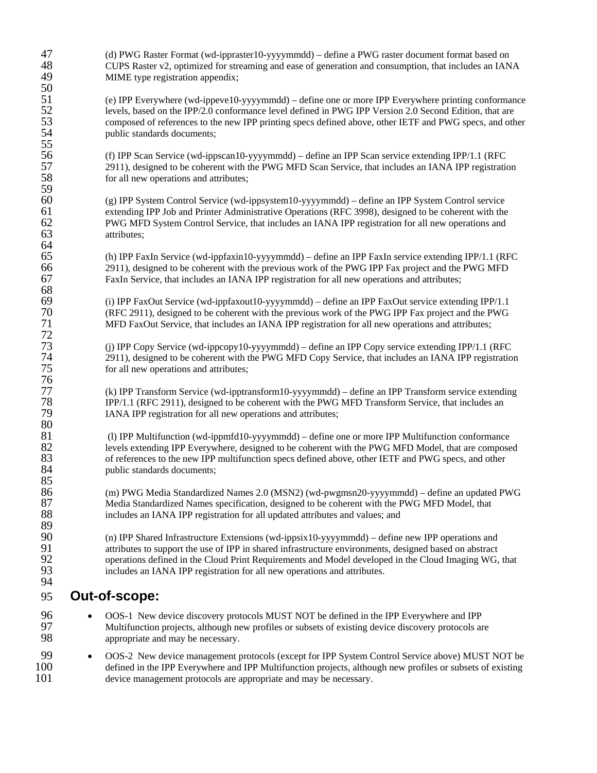| 47<br>48<br>49             | (d) PWG Raster Format (wd-ippraster10-yyyymmdd) - define a PWG raster document format based on<br>CUPS Raster v2, optimized for streaming and ease of generation and consumption, that includes an IANA<br>MIME type registration appendix;                                                                                                                                                   |
|----------------------------|-----------------------------------------------------------------------------------------------------------------------------------------------------------------------------------------------------------------------------------------------------------------------------------------------------------------------------------------------------------------------------------------------|
| 50<br>51<br>52<br>53<br>54 | (e) IPP Everywhere (wd-ippeve10-yyyymmdd) – define one or more IPP Everywhere printing conformance<br>levels, based on the IPP/2.0 conformance level defined in PWG IPP Version 2.0 Second Edition, that are<br>composed of references to the new IPP printing specs defined above, other IETF and PWG specs, and other                                                                       |
| 55<br>56                   | public standards documents;<br>(f) IPP Scan Service (wd-ippscan10-yyyymmdd) – define an IPP Scan service extending IPP/1.1 (RFC                                                                                                                                                                                                                                                               |
| 57<br>58<br>59             | 2911), designed to be coherent with the PWG MFD Scan Service, that includes an IANA IPP registration<br>for all new operations and attributes;                                                                                                                                                                                                                                                |
| 60<br>61<br>62<br>63<br>64 | (g) IPP System Control Service (wd-ippsystem10-yyyymmdd) – define an IPP System Control service<br>extending IPP Job and Printer Administrative Operations (RFC 3998), designed to be coherent with the<br>PWG MFD System Control Service, that includes an IANA IPP registration for all new operations and<br>attributes;                                                                   |
| 65<br>66<br>67<br>68       | (h) IPP FaxIn Service (wd-ippfaxin10-yyyymmdd) – define an IPP FaxIn service extending IPP/1.1 (RFC<br>2911), designed to be coherent with the previous work of the PWG IPP Fax project and the PWG MFD<br>FaxIn Service, that includes an IANA IPP registration for all new operations and attributes;                                                                                       |
| 69<br>70<br>71<br>72       | (i) IPP FaxOut Service (wd-ippfaxout10-yyyymmdd) – define an IPP FaxOut service extending IPP/1.1<br>(RFC 2911), designed to be coherent with the previous work of the PWG IPP Fax project and the PWG<br>MFD FaxOut Service, that includes an IANA IPP registration for all new operations and attributes;                                                                                   |
| 73<br>74<br>75<br>76       | (j) IPP Copy Service (wd-ippcopy10-yyyymmdd) – define an IPP Copy service extending IPP/1.1 (RFC<br>2911), designed to be coherent with the PWG MFD Copy Service, that includes an IANA IPP registration<br>for all new operations and attributes;                                                                                                                                            |
| 77<br>78<br>79<br>80       | (k) IPP Transform Service (wd-ipptransform10-yyyymmdd) - define an IPP Transform service extending<br>IPP/1.1 (RFC 2911), designed to be coherent with the PWG MFD Transform Service, that includes an<br>IANA IPP registration for all new operations and attributes;                                                                                                                        |
| 81<br>82<br>83<br>84<br>85 | (l) IPP Multifunction (wd-ippmfd10-yyyymmdd) – define one or more IPP Multifunction conformance<br>levels extending IPP Everywhere, designed to be coherent with the PWG MFD Model, that are composed<br>of references to the new IPP multifunction specs defined above, other IETF and PWG specs, and other<br>public standards documents;                                                   |
| 86<br>87<br>88<br>89       | (m) PWG Media Standardized Names 2.0 (MSN2) (wd-pwgmsn20-yyyymmdd) - define an updated PWG<br>Media Standardized Names specification, designed to be coherent with the PWG MFD Model, that<br>includes an IANA IPP registration for all updated attributes and values; and                                                                                                                    |
| 90<br>91<br>92<br>93<br>94 | (n) IPP Shared Infrastructure Extensions (wd-ippsix10-yyyymmdd) – define new IPP operations and<br>attributes to support the use of IPP in shared infrastructure environments, designed based on abstract<br>operations defined in the Cloud Print Requirements and Model developed in the Cloud Imaging WG, that<br>includes an IANA IPP registration for all new operations and attributes. |
| 95                         | Out-of-scope:                                                                                                                                                                                                                                                                                                                                                                                 |
| 96<br>97<br>98             | OOS-1 New device discovery protocols MUST NOT be defined in the IPP Everywhere and IPP<br>Multifunction projects, although new profiles or subsets of existing device discovery protocols are<br>appropriate and may be necessary.                                                                                                                                                            |
| 99<br>100<br>101           | OOS-2 New device management protocols (except for IPP System Control Service above) MUST NOT be<br>$\bullet$<br>defined in the IPP Everywhere and IPP Multifunction projects, although new profiles or subsets of existing<br>device management protocols are appropriate and may be necessary.                                                                                               |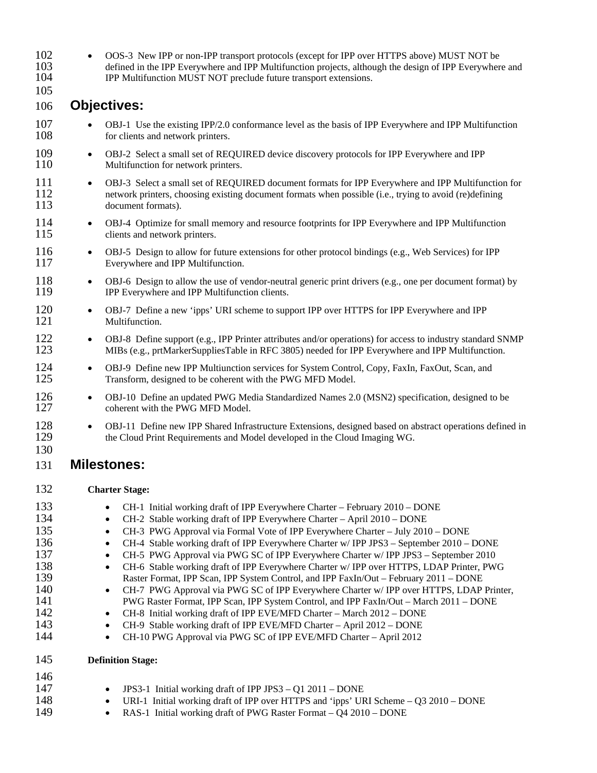| 102<br>103<br>104<br>105                                                         | OOS-3 New IPP or non-IPP transport protocols (except for IPP over HTTPS above) MUST NOT be<br>$\bullet$<br>defined in the IPP Everywhere and IPP Multifunction projects, although the design of IPP Everywhere and<br>IPP Multifunction MUST NOT preclude future transport extensions.                                                                                                                                                                                                                                                                                                                                                                                                                                                                                                                                                                                                                                                                                                                                                                                                                                 |
|----------------------------------------------------------------------------------|------------------------------------------------------------------------------------------------------------------------------------------------------------------------------------------------------------------------------------------------------------------------------------------------------------------------------------------------------------------------------------------------------------------------------------------------------------------------------------------------------------------------------------------------------------------------------------------------------------------------------------------------------------------------------------------------------------------------------------------------------------------------------------------------------------------------------------------------------------------------------------------------------------------------------------------------------------------------------------------------------------------------------------------------------------------------------------------------------------------------|
| 106                                                                              | <b>Objectives:</b>                                                                                                                                                                                                                                                                                                                                                                                                                                                                                                                                                                                                                                                                                                                                                                                                                                                                                                                                                                                                                                                                                                     |
| 107<br>108                                                                       | OBJ-1 Use the existing IPP/2.0 conformance level as the basis of IPP Everywhere and IPP Multifunction<br>for clients and network printers.                                                                                                                                                                                                                                                                                                                                                                                                                                                                                                                                                                                                                                                                                                                                                                                                                                                                                                                                                                             |
| 109<br>110                                                                       | OBJ-2 Select a small set of REQUIRED device discovery protocols for IPP Everywhere and IPP<br>$\bullet$<br>Multifunction for network printers.                                                                                                                                                                                                                                                                                                                                                                                                                                                                                                                                                                                                                                                                                                                                                                                                                                                                                                                                                                         |
| 111<br>112<br>113                                                                | OBJ-3 Select a small set of REQUIRED document formats for IPP Everywhere and IPP Multifunction for<br>$\bullet$<br>network printers, choosing existing document formats when possible (i.e., trying to avoid (re)defining<br>document formats).                                                                                                                                                                                                                                                                                                                                                                                                                                                                                                                                                                                                                                                                                                                                                                                                                                                                        |
| 114<br>115                                                                       | OBJ-4 Optimize for small memory and resource footprints for IPP Everywhere and IPP Multifunction<br>$\bullet$<br>clients and network printers.                                                                                                                                                                                                                                                                                                                                                                                                                                                                                                                                                                                                                                                                                                                                                                                                                                                                                                                                                                         |
| 116<br>117                                                                       | OBJ-5 Design to allow for future extensions for other protocol bindings (e.g., Web Services) for IPP<br>$\bullet$<br>Everywhere and IPP Multifunction.                                                                                                                                                                                                                                                                                                                                                                                                                                                                                                                                                                                                                                                                                                                                                                                                                                                                                                                                                                 |
| 118<br>119                                                                       | OBJ-6 Design to allow the use of vendor-neutral generic print drivers (e.g., one per document format) by<br>$\bullet$<br>IPP Everywhere and IPP Multifunction clients.                                                                                                                                                                                                                                                                                                                                                                                                                                                                                                                                                                                                                                                                                                                                                                                                                                                                                                                                                 |
| 120<br>121                                                                       | OBJ-7 Define a new 'ipps' URI scheme to support IPP over HTTPS for IPP Everywhere and IPP<br>$\bullet$<br>Multifunction.                                                                                                                                                                                                                                                                                                                                                                                                                                                                                                                                                                                                                                                                                                                                                                                                                                                                                                                                                                                               |
| 122<br>123                                                                       | OBJ-8 Define support (e.g., IPP Printer attributes and/or operations) for access to industry standard SNMP<br>$\bullet$<br>MIBs (e.g., prtMarkerSuppliesTable in RFC 3805) needed for IPP Everywhere and IPP Multifunction.                                                                                                                                                                                                                                                                                                                                                                                                                                                                                                                                                                                                                                                                                                                                                                                                                                                                                            |
| 124<br>125                                                                       | OBJ-9 Define new IPP Multiunction services for System Control, Copy, FaxIn, FaxOut, Scan, and<br>$\bullet$<br>Transform, designed to be coherent with the PWG MFD Model.                                                                                                                                                                                                                                                                                                                                                                                                                                                                                                                                                                                                                                                                                                                                                                                                                                                                                                                                               |
| 126<br>127                                                                       | OBJ-10 Define an updated PWG Media Standardized Names 2.0 (MSN2) specification, designed to be<br>$\bullet$<br>coherent with the PWG MFD Model.                                                                                                                                                                                                                                                                                                                                                                                                                                                                                                                                                                                                                                                                                                                                                                                                                                                                                                                                                                        |
| 128<br>129<br>130                                                                | OBJ-11 Define new IPP Shared Infrastructure Extensions, designed based on abstract operations defined in<br>$\bullet$<br>the Cloud Print Requirements and Model developed in the Cloud Imaging WG.                                                                                                                                                                                                                                                                                                                                                                                                                                                                                                                                                                                                                                                                                                                                                                                                                                                                                                                     |
| 131                                                                              | <b>Milestones:</b>                                                                                                                                                                                                                                                                                                                                                                                                                                                                                                                                                                                                                                                                                                                                                                                                                                                                                                                                                                                                                                                                                                     |
| 132                                                                              | <b>Charter Stage:</b>                                                                                                                                                                                                                                                                                                                                                                                                                                                                                                                                                                                                                                                                                                                                                                                                                                                                                                                                                                                                                                                                                                  |
| 133<br>134<br>135<br>136<br>137<br>138<br>139<br>140<br>141<br>142<br>143<br>144 | CH-1 Initial working draft of IPP Everywhere Charter - February 2010 - DONE<br>CH-2 Stable working draft of IPP Everywhere Charter - April 2010 - DONE<br>٠<br>CH-3 PWG Approval via Formal Vote of IPP Everywhere Charter - July 2010 - DONE<br>٠<br>CH-4 Stable working draft of IPP Everywhere Charter w/IPP JPS3 - September 2010 - DONE<br>$\bullet$<br>CH-5 PWG Approval via PWG SC of IPP Everywhere Charter w/ IPP JPS3 - September 2010<br>$\bullet$<br>CH-6 Stable working draft of IPP Everywhere Charter w/ IPP over HTTPS, LDAP Printer, PWG<br>$\bullet$<br>Raster Format, IPP Scan, IPP System Control, and IPP FaxIn/Out - February 2011 - DONE<br>CH-7 PWG Approval via PWG SC of IPP Everywhere Charter w/ IPP over HTTPS, LDAP Printer,<br>$\bullet$<br>PWG Raster Format, IPP Scan, IPP System Control, and IPP FaxIn/Out - March 2011 - DONE<br>CH-8 Initial working draft of IPP EVE/MFD Charter - March 2012 - DONE<br>٠<br>CH-9 Stable working draft of IPP EVE/MFD Charter - April 2012 - DONE<br>$\bullet$<br>CH-10 PWG Approval via PWG SC of IPP EVE/MFD Charter - April 2012<br>$\bullet$ |
| 145                                                                              | <b>Definition Stage:</b>                                                                                                                                                                                                                                                                                                                                                                                                                                                                                                                                                                                                                                                                                                                                                                                                                                                                                                                                                                                                                                                                                               |
| 146<br>147<br>148<br>149                                                         | JPS3-1 Initial working draft of IPP JPS3 - Q1 2011 - DONE<br>٠<br>URI-1 Initial working draft of IPP over HTTPS and 'ipps' URI Scheme $-$ Q3 2010 $-$ DONE<br>٠<br>RAS-1 Initial working draft of PWG Raster Format - Q4 2010 - DONE<br>$\bullet$                                                                                                                                                                                                                                                                                                                                                                                                                                                                                                                                                                                                                                                                                                                                                                                                                                                                      |